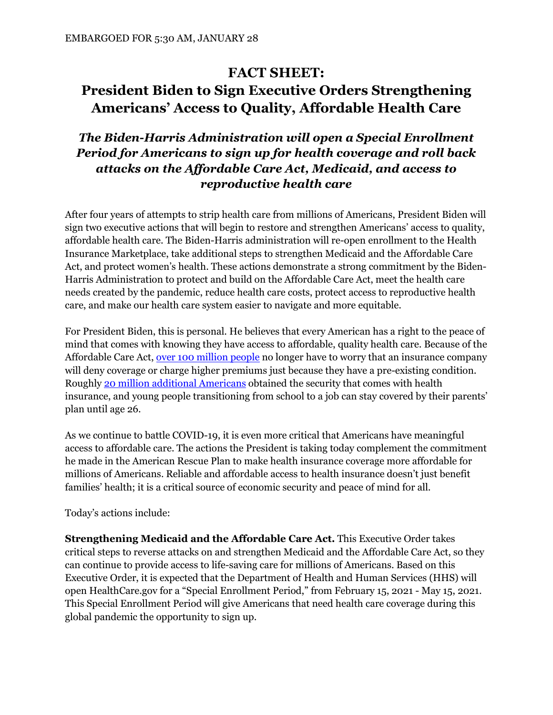## **FACT SHEET:**

## **President Biden to Sign Executive Orders Strengthening Americans' Access to Quality, Affordable Health Care**

## *The Biden-Harris Administration will open a Special Enrollment Period for Americans to sign up for health coverage and roll back attacks on the Affordable Care Act, Medicaid, and access to reproductive health care*

After four years of attempts to strip health care from millions of Americans, President Biden will sign two executive actions that will begin to restore and strengthen Americans' access to quality, affordable health care. The Biden-Harris administration will re-open enrollment to the Health Insurance Marketplace, take additional steps to strengthen Medicaid and the Affordable Care Act, and protect women's health. These actions demonstrate a strong commitment by the Biden-Harris Administration to protect and build on the Affordable Care Act, meet the health care needs created by the pandemic, reduce health care costs, protect access to reproductive health care, and make our health care system easier to navigate and more equitable.

For President Biden, this is personal. He believes that every American has a right to the peace of mind that comes with knowing they have access to affordable, quality health care. Because of the Affordable Care Act, [over 100 million people](https://avalere.com/press-releases/repeal-of-acas-pre-existing-condition-protections-could-affect-health-security-of-over-100-million-people) no longer have to worry that an insurance company will deny coverage or charge higher premiums just because they have a pre-existing condition. Roughly [20 million additional Americans](https://www.kff.org/uninsured/fact-sheet/key-facts-about-the-uninsured-population/) obtained the security that comes with health insurance, and young people transitioning from school to a job can stay covered by their parents' plan until age 26.

As we continue to battle COVID-19, it is even more critical that Americans have meaningful access to affordable care. The actions the President is taking today complement the commitment he made in the American Rescue Plan to make health insurance coverage more affordable for millions of Americans. Reliable and affordable access to health insurance doesn't just benefit families' health; it is a critical source of economic security and peace of mind for all.

Today's actions include:

**Strengthening Medicaid and the Affordable Care Act.** This Executive Order takes critical steps to reverse attacks on and strengthen Medicaid and the Affordable Care Act, so they can continue to provide access to life-saving care for millions of Americans. Based on this Executive Order, it is expected that the Department of Health and Human Services (HHS) will open HealthCare.gov for a "Special Enrollment Period," from February 15, 2021 - May 15, 2021. This Special Enrollment Period will give Americans that need health care coverage during this global pandemic the opportunity to sign up.